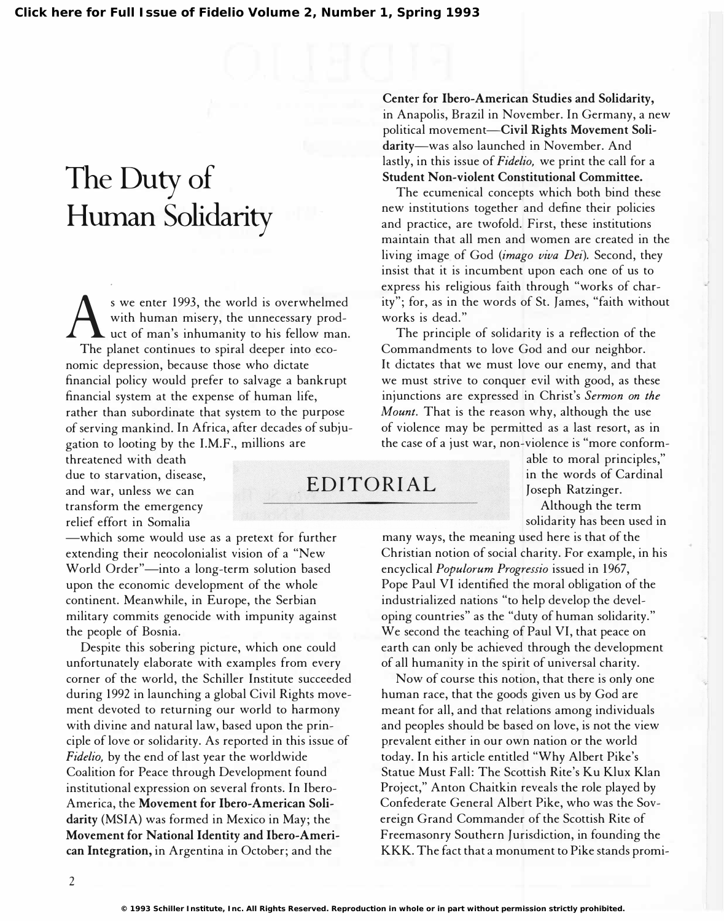## The Duty of Human Solidarity

 $\bigwedge_{\text{The}}$ s we enter 1993, the world is overwhelmed with human misery, the unnecessary product of man's inhumanity to his fellow man. The planet continues to spiral deeper into economic depression, because those who dictate financial policy would prefer to salvage a bankrupt financial system at the expense of human life, rather than subordinate that system to the purpose of serving mankind. In Africa, after decades of subjugation to looting by the I.M.F., millions are

threatened with death due to starvation, disease, and war, unless we can transform the emergency relief effort in Somalia

-which some would use as a pretext for further extending their neocolonialist vision of a "New World Order"-into a long-term solution based upon the economic development of the whole continent. Meanwhile, in Europe, the Serbian military commits genocide with impunity against the people of Bosnia.

Despite this sobering picture, which one could unfortunately elaborate with examples from every corner of the world, the Schiller Institute succeeded during 1992 in launching a global Civil Rights movement devoted to returning our world to harmony with divine and natural law, based upon the principle of love or solidarity. As reported in this issue of Fidelia, by the end of last year the worldwide Coalition for Peace through Development found institutional expression on several fronts. In Ibero-America, the Movement for Ibero-American Solidarity (MSIA) was formed in Mexico in May; the Movement for National Identity and Ibero-American Integration, in Argentina in October; and the

Center for Ibero-American Studies and Solidarity, in Anapolis, Brazil in November. In Germany, a new political movement-Civil Rights Movement Solidarity-was also launched in November. And lastly, in this issue of Fidelio, we print the call for a Student Non-violent Constitutional Committee.

The ecumenical concepts which both bind these new institutions together and define their policies and practice, are twofold. First, these institutions maintain that all men and women are created in the living image of God (imago viva Dei). Second, they insist that it is incumbent upon each one of us to express his religious faith through "works of charity "; for, as in the words of St. James, "faith without works is dead."

The principle of solidarity is a reflection of the Commandments to love God and our neighbor. It dictates that we must love our enemy, and that we must strive to conquer evil with good, as these injunctions are expressed in Christ's Sermon on the Mount. That is the reason why, although the use of violence may be permitted as a last resort, as in the case of a just war, non-violence is "more conform-

able to moral principles," EDITORIAL in the words of Cardinal Joseph Ratzinger.

Although the term solidarity has been used in

many ways, the meaning used here is that of the Christian notion of social charity. For example, in his encyclical Populorum Progressio issued in 1967, Pope Paul VI identified the moral obligation of the industrialized nations "to help develop the developing countries" as the "duty of human solidarity." We second the teaching of Paul VI, that peace on earth can only be achieved through the development of all humanity in the spirit of universal charity.

Now of course this notion, that there is only one human race, that the goods given us by God are meant for all, and that relations among individuals and peoples should be based on love, is not the view prevalent either in our own nation or the world today. In his article entitled "Why Albert Pike's Statue Must Fall: The Scottish Rite's Ku Klux Klan Project," Anton Chaitkin reveals the role played by Confederate General Albert Pike, who was the Sovereign Grand Commander of the Scottish Rite of Freemasonry Southern Jurisdiction, in founding the KKK. The fact that a monument to Pike stands promi